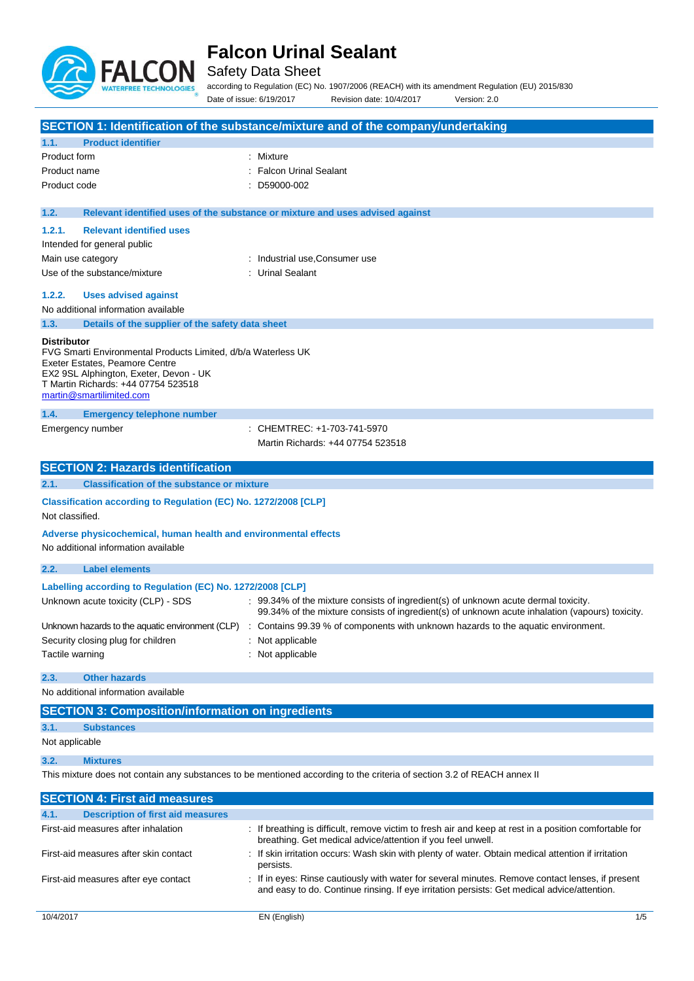

Safety Data Sheet

according to Regulation (EC) No. 1907/2006 (REACH) with its amendment Regulation (EU) 2015/830 Date of issue: 6/19/2017 Revision date: 10/4/2017 Version: 2.0

|                                                                                                                                                                                                                                    | SECTION 1: Identification of the substance/mixture and of the company/undertaking                                                                                                           |
|------------------------------------------------------------------------------------------------------------------------------------------------------------------------------------------------------------------------------------|---------------------------------------------------------------------------------------------------------------------------------------------------------------------------------------------|
| 1.1.<br><b>Product identifier</b>                                                                                                                                                                                                  |                                                                                                                                                                                             |
| Product form                                                                                                                                                                                                                       | : Mixture                                                                                                                                                                                   |
| Product name                                                                                                                                                                                                                       | <b>Falcon Urinal Sealant</b>                                                                                                                                                                |
| Product code                                                                                                                                                                                                                       | D59000-002                                                                                                                                                                                  |
| 1.2.                                                                                                                                                                                                                               | Relevant identified uses of the substance or mixture and uses advised against                                                                                                               |
| 1.2.1.<br><b>Relevant identified uses</b>                                                                                                                                                                                          |                                                                                                                                                                                             |
| Intended for general public                                                                                                                                                                                                        |                                                                                                                                                                                             |
| Main use category                                                                                                                                                                                                                  | Industrial use, Consumer use                                                                                                                                                                |
| Use of the substance/mixture                                                                                                                                                                                                       | : Urinal Sealant                                                                                                                                                                            |
| 1.2.2.<br><b>Uses advised against</b>                                                                                                                                                                                              |                                                                                                                                                                                             |
| No additional information available                                                                                                                                                                                                |                                                                                                                                                                                             |
| 1.3.<br>Details of the supplier of the safety data sheet                                                                                                                                                                           |                                                                                                                                                                                             |
| <b>Distributor</b><br>FVG Smarti Environmental Products Limited, d/b/a Waterless UK<br>Exeter Estates, Peamore Centre<br>EX2 9SL Alphington, Exeter, Devon - UK<br>T Martin Richards: +44 07754 523518<br>martin@smartilimited.com |                                                                                                                                                                                             |
| 1.4.<br><b>Emergency telephone number</b>                                                                                                                                                                                          |                                                                                                                                                                                             |
| Emergency number                                                                                                                                                                                                                   | CHEMTREC: +1-703-741-5970<br>Martin Richards: +44 07754 523518                                                                                                                              |
|                                                                                                                                                                                                                                    |                                                                                                                                                                                             |
| <b>SECTION 2: Hazards identification</b>                                                                                                                                                                                           |                                                                                                                                                                                             |
| <b>Classification of the substance or mixture</b><br>2.1.                                                                                                                                                                          |                                                                                                                                                                                             |
| Classification according to Regulation (EC) No. 1272/2008 [CLP]<br>Not classified.                                                                                                                                                 |                                                                                                                                                                                             |
| Adverse physicochemical, human health and environmental effects<br>No additional information available                                                                                                                             |                                                                                                                                                                                             |
| 2.2.<br><b>Label elements</b>                                                                                                                                                                                                      |                                                                                                                                                                                             |
|                                                                                                                                                                                                                                    |                                                                                                                                                                                             |
| Labelling according to Regulation (EC) No. 1272/2008 [CLP]<br>Unknown acute toxicity (CLP) - SDS                                                                                                                                   | $\div$ 99.34% of the mixture consists of ingredient(s) of unknown acute dermal toxicity.<br>99.34% of the mixture consists of ingredient(s) of unknown acute inhalation (vapours) toxicity. |
|                                                                                                                                                                                                                                    | Unknown hazards to the aquatic environment (CLP) : Contains 99.39 % of components with unknown hazards to the aquatic environment.                                                          |
| Security closing plug for children                                                                                                                                                                                                 | Not applicable                                                                                                                                                                              |
| Tactile warning                                                                                                                                                                                                                    | Not applicable                                                                                                                                                                              |
| <b>Other hazards</b><br>2.3.                                                                                                                                                                                                       |                                                                                                                                                                                             |
| No additional information available                                                                                                                                                                                                |                                                                                                                                                                                             |
| <b>SECTION 3: Composition/information on ingredients</b>                                                                                                                                                                           |                                                                                                                                                                                             |
| 3.1.<br><b>Substances</b>                                                                                                                                                                                                          |                                                                                                                                                                                             |
| Not applicable                                                                                                                                                                                                                     |                                                                                                                                                                                             |
| 3.2.<br><b>Mixtures</b>                                                                                                                                                                                                            |                                                                                                                                                                                             |

| <b>SECTION 4: First aid measures</b>             |                                                                                                                                                                                                 |     |
|--------------------------------------------------|-------------------------------------------------------------------------------------------------------------------------------------------------------------------------------------------------|-----|
| <b>Description of first aid measures</b><br>4.1. |                                                                                                                                                                                                 |     |
| First-aid measures after inhalation              | : If breathing is difficult, remove victim to fresh air and keep at rest in a position comfortable for<br>breathing. Get medical advice/attention if you feel unwell.                           |     |
| First-aid measures after skin contact            | : If skin irritation occurs: Wash skin with plenty of water. Obtain medical attention if irritation<br>persists.                                                                                |     |
| First-aid measures after eye contact             | : If in eyes: Rinse cautiously with water for several minutes. Remove contact lenses, if present<br>and easy to do. Continue rinsing. If eye irritation persists: Get medical advice/attention. |     |
| 10/4/2017                                        | EN (English)                                                                                                                                                                                    | 1/5 |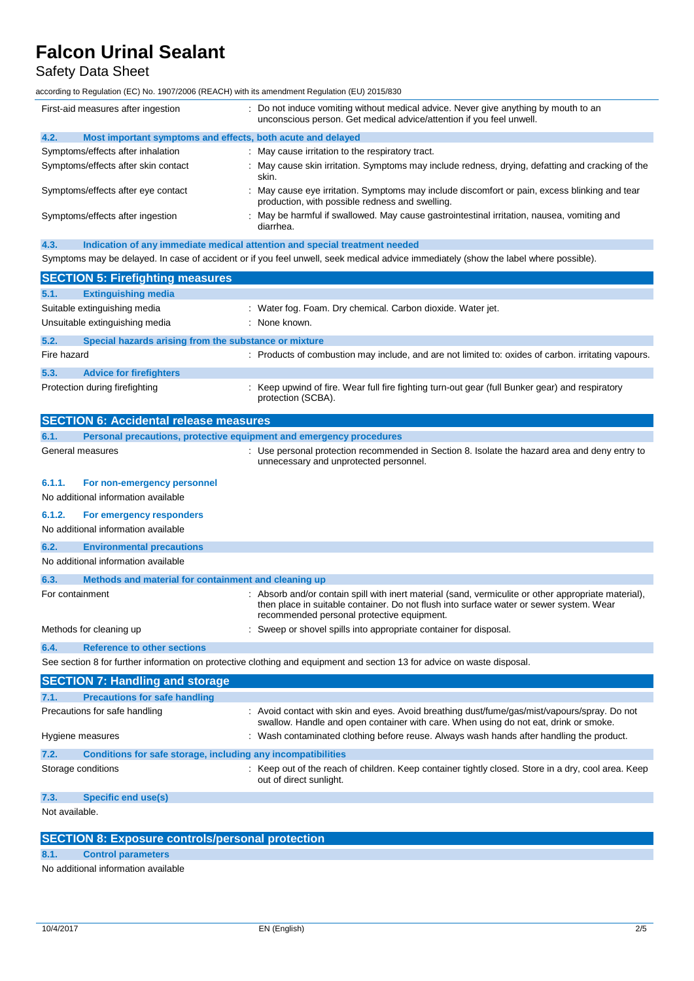## Safety Data Sheet

according to Regulation (EC) No. 1907/2006 (REACH) with its amendment Regulation (EU) 2015/830

|      | First-aid measures after ingestion                                         | : Do not induce vomiting without medical advice. Never give anything by mouth to an<br>unconscious person. Get medical advice/attention if you feel unwell. |
|------|----------------------------------------------------------------------------|-------------------------------------------------------------------------------------------------------------------------------------------------------------|
| 4.2. | Most important symptoms and effects, both acute and delayed                |                                                                                                                                                             |
|      | Symptoms/effects after inhalation                                          | : May cause irritation to the respiratory tract.                                                                                                            |
|      | Symptoms/effects after skin contact                                        | : May cause skin irritation. Symptoms may include redness, drying, defatting and cracking of the<br>skin.                                                   |
|      | Symptoms/effects after eye contact                                         | May cause eye irritation. Symptoms may include discomfort or pain, excess blinking and tear<br>production, with possible redness and swelling.              |
|      | Symptoms/effects after ingestion                                           | : May be harmful if swallowed. May cause gastrointestinal irritation, nausea, vomiting and<br>diarrhea.                                                     |
| 4.3. | Indication of any immediate medical attention and special treatment needed |                                                                                                                                                             |
|      |                                                                            | Symptoms may be delayed. In case of accident or if you feel unwell, seek medical advice immediately (show the label where possible).                        |
|      | <b>SECTION 5: Firefighting measures</b>                                    |                                                                                                                                                             |
| 54   | <b>Extinguiching modia</b>                                                 |                                                                                                                                                             |

| 5.1.        | <b>Extinguishing media</b>                                     |                                                                                                                       |
|-------------|----------------------------------------------------------------|-----------------------------------------------------------------------------------------------------------------------|
|             | Suitable extinguishing media<br>Unsuitable extinguishing media | : Water fog. Foam. Dry chemical. Carbon dioxide. Water jet.<br>: None known.                                          |
| 5.2.        | Special hazards arising from the substance or mixture          |                                                                                                                       |
| Fire hazard |                                                                | : Products of combustion may include, and are not limited to: oxides of carbon. irritating vapours.                   |
| 5.3.        | <b>Advice for firefighters</b>                                 |                                                                                                                       |
|             | Protection during firefighting                                 | : Keep upwind of fire. Wear full fire fighting turn-out gear (full Bunker gear) and respiratory<br>protection (SCBA). |

|                                     | <b>SECTION 6: Accidental release measures</b>                       |                                                                                                                                                                                                                                               |
|-------------------------------------|---------------------------------------------------------------------|-----------------------------------------------------------------------------------------------------------------------------------------------------------------------------------------------------------------------------------------------|
| 6.1.                                | Personal precautions, protective equipment and emergency procedures |                                                                                                                                                                                                                                               |
|                                     | General measures                                                    | : Use personal protection recommended in Section 8. Isolate the hazard area and deny entry to<br>unnecessary and unprotected personnel.                                                                                                       |
| 6.1.1.                              | For non-emergency personnel                                         |                                                                                                                                                                                                                                               |
| No additional information available |                                                                     |                                                                                                                                                                                                                                               |
| 6.1.2.                              | For emergency responders                                            |                                                                                                                                                                                                                                               |
|                                     | No additional information available                                 |                                                                                                                                                                                                                                               |
| 6.2.                                | <b>Environmental precautions</b>                                    |                                                                                                                                                                                                                                               |
|                                     | No additional information available                                 |                                                                                                                                                                                                                                               |
| 6.3.                                | Methods and material for containment and cleaning up                |                                                                                                                                                                                                                                               |
| For containment                     |                                                                     | : Absorb and/or contain spill with inert material (sand, vermiculite or other appropriate material),<br>then place in suitable container. Do not flush into surface water or sewer system. Wear<br>recommended personal protective equipment. |
|                                     | Methods for cleaning up                                             | Sweep or shovel spills into appropriate container for disposal.                                                                                                                                                                               |
| 6.4.                                | <b>Reference to other sections</b>                                  |                                                                                                                                                                                                                                               |
|                                     |                                                                     | See section 8 for further information on protective clothing and equipment and section 13 for advice on waste disposal.                                                                                                                       |
|                                     | <b>SECTION 7: Handling and storage</b>                              |                                                                                                                                                                                                                                               |
| 7.1.                                | <b>Precautions for safe handling</b>                                |                                                                                                                                                                                                                                               |
|                                     | Precautions for safe handling                                       | : Avoid contact with skin and eyes. Avoid breathing dust/fume/gas/mist/vapours/spray. Do not<br>swallow. Handle and open container with care. When using do not eat, drink or smoke.                                                          |
|                                     | Hygiene measures                                                    | Wash contaminated clothing before reuse. Always wash hands after handling the product.                                                                                                                                                        |
| 7.2.                                | Conditions for safe storage, including any incompatibilities        |                                                                                                                                                                                                                                               |
|                                     | Storage conditions                                                  | Keep out of the reach of children. Keep container tightly closed. Store in a dry, cool area. Keep<br>out of direct sunlight.                                                                                                                  |

## **7.3. Specific end use(s)**

Not available.

| <b>SECTION 8: Exposure controls/personal protection</b> |  |
|---------------------------------------------------------|--|
|                                                         |  |

**8.1. Control parameters**

No additional information available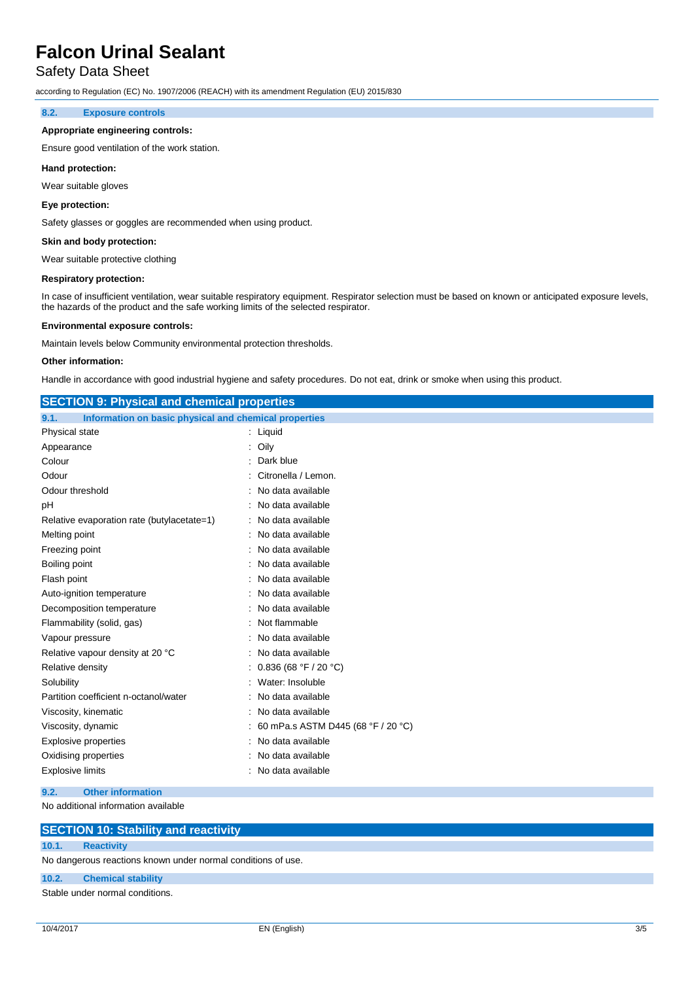### Safety Data Sheet

according to Regulation (EC) No. 1907/2006 (REACH) with its amendment Regulation (EU) 2015/830

#### **8.2. Exposure controls**

#### **Appropriate engineering controls:**

Ensure good ventilation of the work station.

#### **Hand protection:**

Wear suitable gloves

#### **Eye protection:**

Safety glasses or goggles are recommended when using product.

#### **Skin and body protection:**

Wear suitable protective clothing

#### **Respiratory protection:**

In case of insufficient ventilation, wear suitable respiratory equipment. Respirator selection must be based on known or anticipated exposure levels, the hazards of the product and the safe working limits of the selected respirator.

#### **Environmental exposure controls:**

Maintain levels below Community environmental protection thresholds.

#### **Other information:**

Handle in accordance with good industrial hygiene and safety procedures. Do not eat, drink or smoke when using this product.

| <b>SECTION 9: Physical and chemical properties</b>            |                                    |
|---------------------------------------------------------------|------------------------------------|
| Information on basic physical and chemical properties<br>9.1. |                                    |
| Physical state                                                | : Liquid                           |
| Appearance                                                    | Oily                               |
| Colour                                                        | Dark blue                          |
| Odour                                                         | Citronella / Lemon.                |
| Odour threshold                                               | No data available                  |
| рH                                                            | No data available                  |
| Relative evaporation rate (butylacetate=1)                    | No data available                  |
| Melting point                                                 | No data available                  |
| Freezing point                                                | No data available                  |
| Boiling point                                                 | No data available                  |
| Flash point                                                   | No data available                  |
| Auto-ignition temperature                                     | No data available                  |
| Decomposition temperature                                     | No data available                  |
| Flammability (solid, gas)                                     | Not flammable                      |
| Vapour pressure                                               | No data available                  |
| Relative vapour density at 20 °C                              | No data available                  |
| Relative density                                              | 0.836 (68 °F / 20 °C)              |
| Solubility                                                    | Water: Insoluble                   |
| Partition coefficient n-octanol/water                         | No data available                  |
| Viscosity, kinematic                                          | No data available                  |
| Viscosity, dynamic                                            | 60 mPa.s ASTM D445 (68 °F / 20 °C) |
| <b>Explosive properties</b>                                   | No data available                  |
| Oxidising properties                                          | No data available                  |
| <b>Explosive limits</b>                                       | No data available                  |
| 9.2.<br><b>Other information</b>                              |                                    |

No additional information available

|       | <b>SECTION 10: Stability and reactivity</b>                  |
|-------|--------------------------------------------------------------|
| 10.1. | <b>Reactivity</b>                                            |
|       | No dangerous reactions known under normal conditions of use. |
|       | 10.2. Chemical stability                                     |
|       | Stable under normal conditions.                              |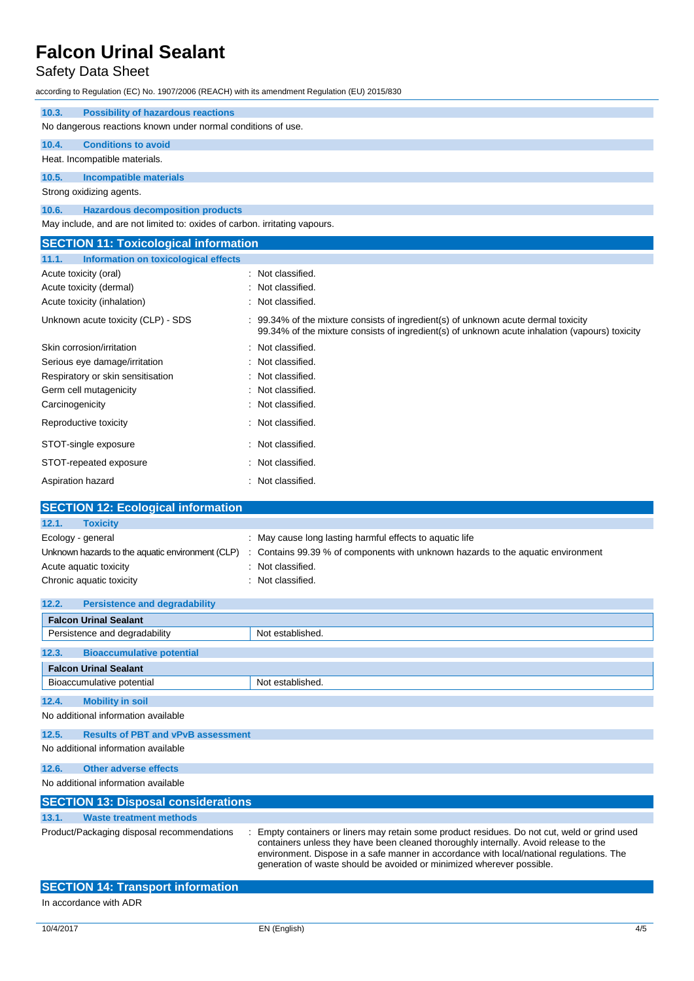## Safety Data Sheet

| according to Regulation (EC) No. 1907/2006 (REACH) with its amendment Regulation (EU) 2015/830                                                                                       |  |  |
|--------------------------------------------------------------------------------------------------------------------------------------------------------------------------------------|--|--|
| 10.3.<br><b>Possibility of hazardous reactions</b>                                                                                                                                   |  |  |
| No dangerous reactions known under normal conditions of use.                                                                                                                         |  |  |
|                                                                                                                                                                                      |  |  |
|                                                                                                                                                                                      |  |  |
|                                                                                                                                                                                      |  |  |
|                                                                                                                                                                                      |  |  |
|                                                                                                                                                                                      |  |  |
| May include, and are not limited to: oxides of carbon. irritating vapours.                                                                                                           |  |  |
| <b>SECTION 11: Toxicological information</b>                                                                                                                                         |  |  |
|                                                                                                                                                                                      |  |  |
| : Not classified.                                                                                                                                                                    |  |  |
| Not classified.                                                                                                                                                                      |  |  |
| Not classified.                                                                                                                                                                      |  |  |
| : 99.34% of the mixture consists of ingredient(s) of unknown acute dermal toxicity<br>99.34% of the mixture consists of ingredient(s) of unknown acute inhalation (vapours) toxicity |  |  |
| Not classified.                                                                                                                                                                      |  |  |
| Not classified.                                                                                                                                                                      |  |  |
| Not classified.                                                                                                                                                                      |  |  |
| Not classified.                                                                                                                                                                      |  |  |
| Not classified.                                                                                                                                                                      |  |  |
| : Not classified.                                                                                                                                                                    |  |  |
| Not classified.                                                                                                                                                                      |  |  |
| Not classified.                                                                                                                                                                      |  |  |
| : Not classified.                                                                                                                                                                    |  |  |
| <b>SECTION 12: Ecological information</b>                                                                                                                                            |  |  |
|                                                                                                                                                                                      |  |  |
| : May cause long lasting harmful effects to aquatic life                                                                                                                             |  |  |
| Contains 99.39 % of components with unknown hazards to the aquatic environment                                                                                                       |  |  |
| Not classified.                                                                                                                                                                      |  |  |
| Chronic aquatic toxicity<br>: Not classified.                                                                                                                                        |  |  |
| <b>Persistence and degradability</b><br>12.2.                                                                                                                                        |  |  |
|                                                                                                                                                                                      |  |  |
|                                                                                                                                                                                      |  |  |

|       | Persistence and degradability                                                                                                                                                                                                     | Not established. |  |
|-------|-----------------------------------------------------------------------------------------------------------------------------------------------------------------------------------------------------------------------------------|------------------|--|
| 12.3. | <b>Bioaccumulative potential</b>                                                                                                                                                                                                  |                  |  |
|       | <b>Falcon Urinal Sealant</b>                                                                                                                                                                                                      |                  |  |
|       | Bioaccumulative potential                                                                                                                                                                                                         | Not established. |  |
| 12.4. | <b>Mobility in soil</b>                                                                                                                                                                                                           |                  |  |
|       | No additional information available                                                                                                                                                                                               |                  |  |
| 12.5. | <b>Results of PBT and vPvB assessment</b>                                                                                                                                                                                         |                  |  |
|       | No additional information available                                                                                                                                                                                               |                  |  |
| 12.6. | <b>Other adverse effects</b>                                                                                                                                                                                                      |                  |  |
|       | No additional information available                                                                                                                                                                                               |                  |  |
|       | <b>SECTION 13: Disposal considerations</b>                                                                                                                                                                                        |                  |  |
| 13.1. | <b>Waste treatment methods</b>                                                                                                                                                                                                    |                  |  |
|       | Empty containers or liners may retain some product residues. Do not cut, weld or grind used<br>Product/Packaging disposal recommendations<br>containers unless they have been cleaned thoroughly internally. Avoid release to the |                  |  |

|                                          | generation of waste should be avoided or minimized wherever possible. |
|------------------------------------------|-----------------------------------------------------------------------|
| <b>SECTION 14: Transport information</b> |                                                                       |
| In accordance with ADR                   |                                                                       |

environment. Dispose in a safe manner in accordance with local/national regulations. The